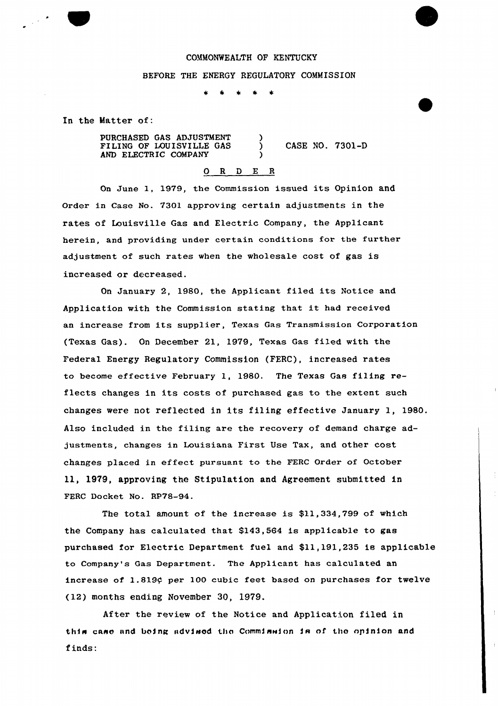## COMMONWEALTH OF KENTUCKY

## BEFORE THE ENERGY REGULATORY COMMISSION

In the Matter of:

PURCHASED GAS ADJUSTMENT ) FILING OF LOUISVILLE GAS ) CASE NO. 7301-D AND ELECTRIC COMPANY

## 0 R <sup>D</sup> E <sup>R</sup>

On June 1, 1979, the Commission issued its Opinion and Order in Case No. 7301 approving certain adjustments in the rates of Louisville Gas and Electric Company, the Applicant herein, and providing under certain conditions for the further adjustment of such rates when the wholesale cost of gas is increased or decreased.

On January 2, 1980, the Applicant filed its Notice and Application with the Commission stating that it had received an increase from its supplier, Texas Gas Transmission Corporation (Texas Gas). On December 21, 1979, Texas Gas filed with the Federal Energy Regulatory Commission (FERC), increased rates to become effective February 1, 1980. The Texas Gas filing reflects changes in its costs of purchased gas to the extent such changes were not reflected in its filing effective January 1, 1980. Also included in the filing are the recovery of demand charge adjustments, changes in Louisiana First Use Tax, and other cost changes placed in effect pursuant to the FERC Order of October ll, 1979, approving the Stipulation and Agreement submitted in FERC Docket No. RP78-94.

The total amount of the increase is \$11,334,799 of which the Company has calculated that \$143,564 is applicable to gas purchased ior Electric Department fuel and \$11,191,235 ie applicable to Company's Gas Department. The Applicant has calculated an increase of 1.819¢ per 100 cubic feet based on purchases for twelve (12) months ending November 30, 1979.

After the review of the Notice and Application filed in this case and being advised the Commission is of the opinion and finds: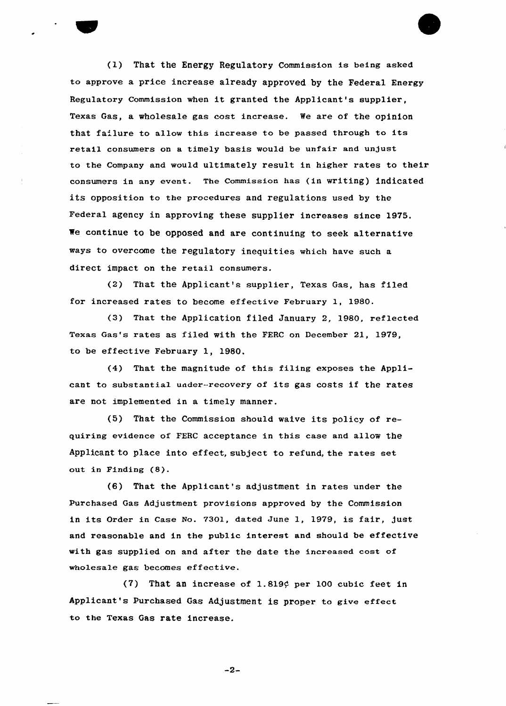(1) That the Energy RegulatOry Commission is being asked to approve a price increase already approved by the Federal Energy Regulatory Commission when it granted the Applicant's supplier, Texas Gas, a wholesale gas cost increase. We are of the opinion that failure to allow this increase to be passed through to its retail consumers on a timely basis would be unfair and unjust to the Company and would ultimately result in higher rates to their consumers in any event. The Commission has (in writing) indicated its opposition to the procedures and regulations used by the Federal agency in approving these supplier increases since 1975. We continue to be opposed and are continuing to seek alternative ways to overcome the regulatory inequities which have such a direct impact on the retail consumers.

(2) That the Applicant's supplier, Texas Gas, has filed for increased rates to become effective February 1, 1980.

(3) That the Application filed January 2, 1980, ref1ected Texas Gas's rates as filed with the FERC on December 21, 1979, to be effective February 1, 1980.

(4) That the magnitude of this filing exposes the Applicant to substantia1 under-recovery of its gas costs if the rates are not implemented in a timely manner.

(5) That the Commission should waive its policy of requiring evidence of FEBC acceptance in this case and allow the Applicant to place into effect, subject to refund, the rates set out in Finding (8).

(6) That the Applicant's adjustment in rates under the Puxchased Gas Adjustment provisions appxoved by the Commission in its Order in Case No. 7301, dated June 1, 1979, is fair, just and reasonable and in the pub1ic interest and should be effective with gas supplied on and after the date the increased cost of who1esa1e gas becomes effective.

(7) That an increase of 1.819 $\varphi$  per 100 cubic feet in Applicant's Purchased Gas Adjustment is proper to give effect to the Texas Gas rate increase.

 $-2-$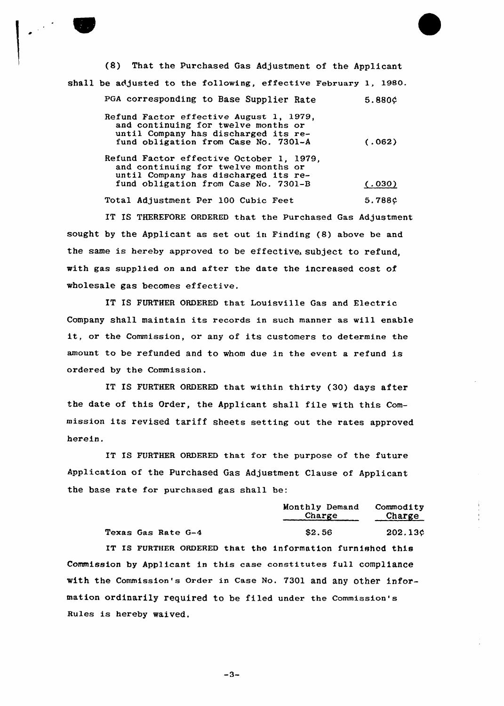| (8) That the Purchased Gas Adjustment of the Applicant                                                                                                          |        |
|-----------------------------------------------------------------------------------------------------------------------------------------------------------------|--------|
| shall be adjusted to the following, effective February 1, 1980.                                                                                                 |        |
| PGA corresponding to Base Supplier Rate                                                                                                                         | 5.880C |
| Refund Factor effective August 1, 1979,<br>and continuing for twelve months or<br>until Company has discharged its re-<br>fund obligation from Case No. 7301-A  | (.062) |
| Refund Factor effective October 1, 1979,<br>and continuing for twelve months or<br>until Company has discharged its re-<br>fund obligation from Case No. 7301-B | (.030) |
| Total Adjustment Per 100 Cubic Feet                                                                                                                             | 5.788¢ |
| IT IS THEREFORE ORDERED that the Purchased Gas Adjustment                                                                                                       |        |

sought by the Applicant as set out in Finding (8) above be and the same is hereby approved to be effective. subject to refund, with gas supplied on and after the date the increased cost of wholesale gas becomes effective.

IT IS FURTHER ORDERED that Louisville Gas and Electric Company shall maintain its records in such manner as will enable it, or the Commission, or any of its customers to determine the amount to be refunded and to whom due in the event a refund is ordered by the Commission.

IT IS FURTHER ORDERED that within thirty (30) days after the date of this Order, the Applicant shall file with this Commission its revised tariff sheets setting out the rates approved herein.

IT IS FURTHER ORDERED that for the purpose of the future Application of the Purchased Gas Adjustment Clause of Applicant the base rate for purchased gas shall be:

|                                                           | Monthly Demand Commodity<br>Charge | Charge  |
|-----------------------------------------------------------|------------------------------------|---------|
| Texas Gas Rate G-4                                        | \$2.56                             | 202.13¢ |
| IT IS FURTHER ORDERED that the information furnished this |                                    |         |

Commission by Applicant in this case constitutes full compliance with the Commission's Order in Case No. 7301 and any other information ordinarily required to be filed under the commission's Rules is hereby waived.

 $-3-$